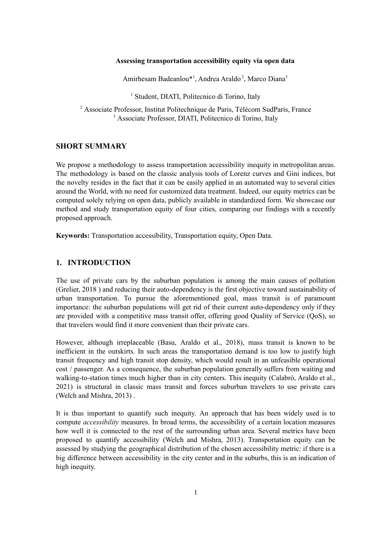### **Assessing transportation accessibility equity via open data**

Amirhesam Badeanlou<sup>\*1</sup>, Andrea Araldo<sup>2</sup>, Marco Diana<sup>3</sup>

<sup>1</sup> Student, DIATI, Politecnico di Torino, Italy

<sup>2</sup> Associate Professor, Institut Politechnique de Paris, Télécom SudParis, France <sup>3</sup> Associate Professor, DIATI, Politecnico di Torino, Italy

### **SHORT SUMMARY**

We propose a methodology to assess transportation accessibility inequity in metropolitan areas. The methodology is based on the classic analysis tools of Lorenz curves and Gini indices, but the novelty resides in the fact that it can be easily applied in an automated way to several cities around the World, with no need for customized data treatment. Indeed, our equity metrics can be computed solely relying on open data, publicly available in standardized form. We showcase our method and study transportation equity of four cities, comparing our findings with a recently proposed approach.

**Keywords:** Transportation accessibility, Transportation equity, Open Data.

# **1. INTRODUCTION**

The use of private cars by the suburban population is among the main causes of pollution (Grelier, 2018 ) and reducing their auto-dependency is the first objective toward sustainability of urban transportation. To pursue the aforementioned goal, mass transit is of paramount importance: the suburban populations will get rid of their current auto-dependency only if they are provided with a competitive mass transit offer, offering good Quality of Service (QoS), so that travelers would find it more convenient than their private cars.

However, although irreplaceable (Basu, Araldo et al., 2018), mass transit is known to be inefficient in the outskirts. In such areas the transportation demand is too low to justify high transit frequency and high transit stop density, which would result in an unfeasible operational cost / passenger. As a consequence, the suburban population generally suffers from waiting and walking-to-station times much higher than in city centers. This inequity (Calabrò, Araldo et al., 2021) is structural in classic mass transit and forces suburban travelers to use private cars (Welch and Mishra, 2013) .

It is thus important to quantify such inequity. An approach that has been widely used is to compute *accessibility* measures. In broad terms, the accessibility of a certain location measures how well it is connected to the rest of the surrounding urban area. Several metrics have been proposed to quantify accessibility (Welch and Mishra, 2013). Transportation equity can be assessed by studying the geographical distribution of the chosen accessibility metric: if there is a big difference between accessibility in the city center and in the suburbs, this is an indication of high inequity.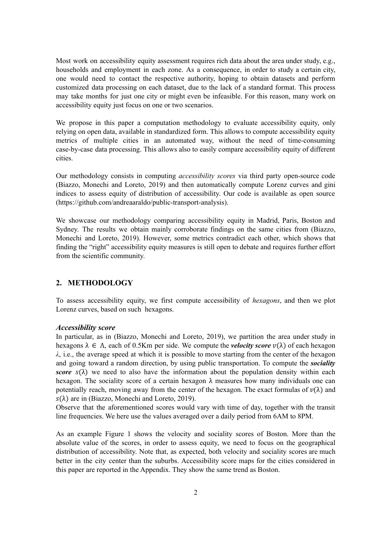Most work on accessibility equity assessment requires rich data about the area under study, e.g., households and employment in each zone. As a consequence, in order to study a certain city, one would need to contact the respective authority, hoping to obtain datasets and perform customized data processing on each dataset, due to the lack of a standard format. This process may take months for just one city or might even be infeasible. For this reason, many work on accessibility equity just focus on one or two scenarios.

We propose in this paper a computation methodology to evaluate accessibility equity, only relying on open data, available in standardized form. This allows to compute accessibility equity metrics of multiple cities in an automated way, without the need of time-consuming case-by-case data processing. This allows also to easily compare accessibility equity of different cities.

Our methodology consists in computing *accessibility scores* via third party open-source code (Biazzo, Monechi and Loreto, 2019) and then automatically compute Lorenz curves and gini indices to assess equity of distribution of accessibility. Our code is available as open source (https://github.com/andreaaraldo/public-transport-analysis).

We showcase our methodology comparing accessibility equity in Madrid, Paris, Boston and Sydney. The results we obtain mainly corroborate findings on the same cities from (Biazzo, Monechi and Loreto, 2019). However, some metrics contradict each other, which shows that finding the "right" accessibility equity measures is still open to debate and requires further effort from the scientific community.

# **2. METHODOLOGY**

To assess accessibility equity, we first compute accessibility of *hexagons*, and then we plot Lorenz curves, based on such hexagons.

#### *Accessibility score*

In particular, as in (Biazzo, Monechi and Loreto, 2019), we partition the area under study in hexagons  $\lambda \in \Lambda$ , each of 0.5Km per side. We compute the *velocity score*  $v(\lambda)$  of each hexagon *λ*, i.e., the average speed at which it is possible to move starting from the center of the hexagon and going toward a random direction, by using public transportation. To compute the *sociality score*  $s(\lambda)$  we need to also have the information about the population density within each hexagon. The sociality score of a certain hexagon  $\lambda$  measures how many individuals one can potentially reach, moving away from the center of the hexagon. The exact formulas of  $v(\lambda)$  and  $s(\lambda)$  are in (Biazzo, Monechi and Loreto, 2019).

Observe that the aforementioned scores would vary with time of day, together with the transit line frequencies. We here use the values averaged over a daily period from 6AM to 8PM.

As an example Figure 1 shows the velocity and sociality scores of Boston. More than the absolute value of the scores, in order to assess equity, we need to focus on the geographical distribution of accessibility. Note that, as expected, both velocity and sociality scores are much better in the city center than the suburbs. Accessibility score maps for the cities considered in this paper are reported in the Appendix. They show the same trend as Boston.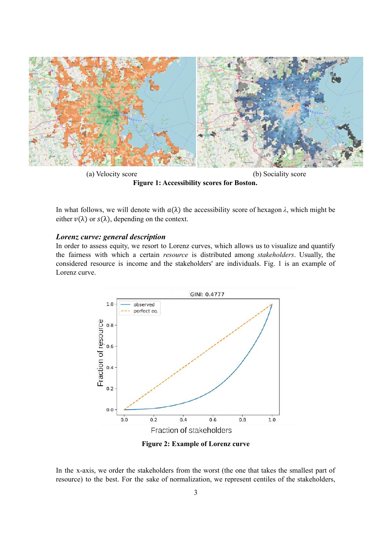

(a) Velocity score (b) Sociality score **Figure 1: Accessibility scores for Boston.**

In what follows, we will denote with  $a(\lambda)$  the accessibility score of hexagon  $\lambda$ , which might be either  $v(\lambda)$  or  $s(\lambda)$ , depending on the context.

## *Lorenz curve: general description*

In order to assess equity, we resort to Lorenz curves, which allows us to visualize and quantify the fairness with which a certain *resource* is distributed among *stakeholders*. Usually, the considered resource is income and the stakeholders' are individuals. Fig. 1 is an example of Lorenz curve.



**Figure 2: Example of Lorenz curve**

In the x-axis, we order the stakeholders from the worst (the one that takes the smallest part of resource) to the best. For the sake of normalization, we represent centiles of the stakeholders,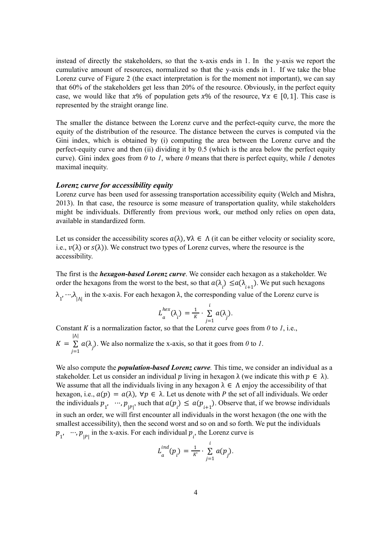instead of directly the stakeholders, so that the x-axis ends in 1. In the y-axis we report the cumulative amount of resources, normalized so that the y-axis ends in 1. If we take the blue Lorenz curve of Figure 2 (the exact interpretation is for the moment not important), we can say that 60% of the stakeholders get less than 20% of the resource. Obviously, in the perfect equity case, we would like that  $x\%$  of population gets  $x\%$  of the resource,  $\forall x \in [0, 1]$ . This case is represented by the straight orange line.

The smaller the distance between the Lorenz curve and the perfect-equity curve, the more the equity of the distribution of the resource. The distance between the curves is computed via the Gini index, which is obtained by (i) computing the area between the Lorenz curve and the perfect-equity curve and then (ii) dividing it by 0.5 (which is the area below the perfect equity curve). Gini index goes from  $\theta$  to  $\theta$ , where  $\theta$  means that there is perfect equity, while  $\theta$  denotes maximal inequity.

## *Lorenz curve for accessibility equity*

Lorenz curve has been used for assessing transportation accessibility equity (Welch and Mishra, 2013). In that case, the resource is some measure of transportation quality, while stakeholders might be individuals. Differently from previous work, our method only relies on open data, available in standardized form.

Let us consider the accessibility scores  $a(\lambda)$ ,  $\forall \lambda \in \Lambda$  (it can be either velocity or sociality score, i.e.,  $v(\lambda)$  or  $s(\lambda)$ ). We construct two types of Lorenz curves, where the resource is the accessibility.

The first is the *hexagon-based Lorenz curve*. We consider each hexagon as a stakeholder. We order the hexagons from the worst to the best, so that  $a(\lambda_i) \le a(\lambda_{i+1})$ . We put such hexagons  $\lambda_1$ ,  $\cdots$ , $\lambda_{|\Lambda|}$  in the x-axis. For each hexagon  $\lambda$ , the corresponding value of the Lorenz curve is

$$
L_a^{hex}(\lambda_i) = \frac{1}{K} \cdot \sum_{j=1}^i a(\lambda_j).
$$

Constant  $K$  is a normalization factor, so that the Lorenz curve goes from  $\theta$  to  $I$ , i.e.,  $K = \sum a(\lambda)$ . We also normalize the x-axis, so that it goes from 0 to 1.  $j=1$ |Λ|  $\sum_i a(\lambda_i)$ .

We also compute the *population-based Lorenz curve.* This time, we consider an individual as a stakeholder. Let us consider an individual p living in hexagon  $\lambda$  (we indicate this with  $p \in \lambda$ ). We assume that all the individuals living in any hexagon  $\lambda \in \Lambda$  enjoy the accessibility of that hexagon, i.e.,  $a(p) = a(\lambda)$ ,  $\forall p \in \lambda$ . Let us denote with P the set of all individuals. We order the individuals  $p_1$ ,  $\cdots$ ,  $p_{|P|}$ , such that  $a(p_i) \le a(p_{i+1})$ . Observe that, if we browse individuals in such an order, we will first encounter all individuals in the worst hexagon (the one with the smallest accessibility), then the second worst and so on and so forth. We put the individuals  $p_{1'}$ ,  $\cdots$ ,  $p_{|P|}$  in the x-axis. For each individual  $p_{i'}$ , the Lorenz curve is

$$
L_a^{ind}(p_i) = \frac{1}{K'} \cdot \sum_{j=1}^i a(p_j).
$$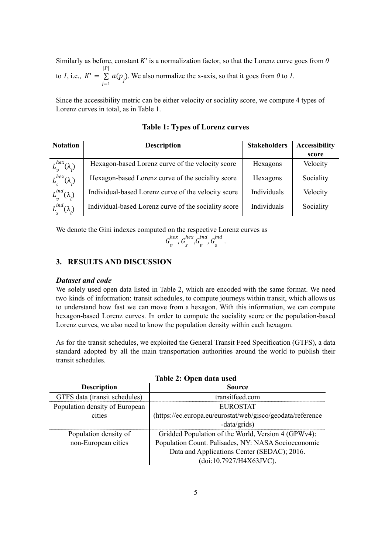Similarly as before, constant  $K'$  is a normalization factor, so that the Lorenz curve goes from  $0$ to *I*, i.e.,  $K' = \sum a(p)$ . We also normalize the x-axis, so that it goes from 0 to *I*.  $j=1$  $|P|$  $\sum_i a(p_i)$ .

Since the accessibility metric can be either velocity or sociality score, we compute 4 types of Lorenz curves in total, as in Table 1.

| <b>Notation</b>              | <b>Description</b>                                   | <b>Stakeholders</b> | <b>Accessibility</b> |
|------------------------------|------------------------------------------------------|---------------------|----------------------|
|                              |                                                      |                     | score                |
| $L_p^{hex}(\lambda_i)$       | Hexagon-based Lorenz curve of the velocity score     | Hexagons            | Velocity             |
| $L_{\rm s}^{hex}(\lambda_i)$ | Hexagon-based Lorenz curve of the sociality score    | Hexagons            | Sociality            |
| $L_i^{ind}(\lambda_i)$       | Individual-based Lorenz curve of the velocity score  | Individuals         | Velocity             |
| $L_s^{ind}(\lambda_i)$       | Individual-based Lorenz curve of the sociality score | Individuals         | Sociality            |

# **Table 1: Types of Lorenz curves**

We denote the Gini indexes computed on the respective Lorenz curves as

 $G_{v}^{nex}$ ,  $G_{s}^{nex}$ ,  $G_{v}^{nax}$ ,  $G_{s}^{nax}$ .  $_{v}^{hex}$ ,  $G_{s}^{hex}$ , $G_{v}^{in}$  $_{v}^{ind}$ ,  $G_{s}^{in}$ ind

# **3. RESULTS AND DISCUSSION**

#### *Dataset and code*

We solely used open data listed in Table 2, which are encoded with the same format. We need two kinds of information: transit schedules, to compute journeys within transit, which allows us to understand how fast we can move from a hexagon. With this information, we can compute hexagon-based Lorenz curves. In order to compute the sociality score or the population-based Lorenz curves, we also need to know the population density within each hexagon.

As for the transit schedules, we exploited the General Transit Feed Specification (GTFS), a data standard adopted by all the main transportation authorities around the world to publish their transit schedules.

| <b>Description</b>             | Source                                                     |
|--------------------------------|------------------------------------------------------------|
| GTFS data (transit schedules)  | transitfeed.com                                            |
| Population density of European | <b>EUROSTAT</b>                                            |
| cities                         | (https://ec.europa.eu/eurostat/web/gisco/geodata/reference |
|                                | -data/grids)                                               |
| Population density of          | Gridded Population of the World, Version 4 (GPWv4):        |
| non-European cities            | Population Count. Palisades, NY: NASA Socioeconomic        |
|                                | Data and Applications Center (SEDAC); 2016.                |
|                                | (doi:10.7927/H4X63JVC).                                    |

# **Table 2: Open data used**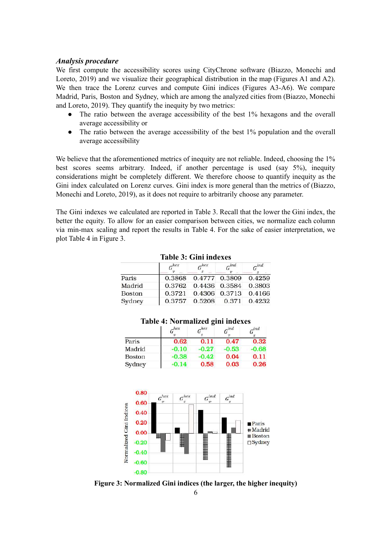### *Analysis procedure*

We first compute the accessibility scores using CityChrone software (Biazzo, Monechi and Loreto, 2019) and we visualize their geographical distribution in the map (Figures A1 and A2). We then trace the Lorenz curves and compute Gini indices (Figures A3-A6). We compare Madrid, Paris, Boston and Sydney, which are among the analyzed cities from (Biazzo, Monechi and Loreto, 2019). They quantify the inequity by two metrics:

- The ratio between the average accessibility of the best 1% hexagons and the overall average accessibility or
- The ratio between the average accessibility of the best 1% population and the overall average accessibility

We believe that the aforementioned metrics of inequity are not reliable. Indeed, choosing the 1% best scores seems arbitrary. Indeed, if another percentage is used (say 5%), inequity considerations might be completely different. We therefore choose to quantify inequity as the Gini index calculated on Lorenz curves. Gini index is more general than the metrics of (Biazzo, Monechi and Loreto, 2019), as it does not require to arbitrarily choose any parameter.

The Gini indexes we calculated are reported in Table 3. Recall that the lower the Gini index, the better the equity. To allow for an easier comparison between cities, we normalize each column via min-max scaling and report the results in Table 4. For the sake of easier interpretation, we plot Table 4 in Figure 3.

|        | $-$ hex | $-hex$        | $\sim$ ind | $-ind$ |
|--------|---------|---------------|------------|--------|
| Paris  | 0.3868  | 0.4777 0.3809 |            | 0.4259 |
| Madrid | 0.3762  | 0.4436 0.3584 |            | 0.3803 |
| Boston | 0.3721  | 0.4306 0.3713 |            | 0.4166 |
| Sydney | 0.3757  | 0.5208        | 0.371      | 0.4232 |

# **Table 3: Gini indexes**

| Table 4: Normalized gini indexes |           |           |            |         |
|----------------------------------|-----------|-----------|------------|---------|
|                                  | $c^{hex}$ | $G^{hex}$ | $\sim$ ind | $\_ind$ |
| Paris                            | 0.62      | 0.11      | 0.47       | 0.32    |
| Madrid                           | $-0.10$   | 0.27      | $-0.53$    | 0.68    |
| <b>Boston</b>                    | $-0.38$   | 0.42      | 0.04       | 0.11    |
| Sydney                           |           | 0.58      | 0.03       | 0.26    |



**Figure 3: Normalized Gini indices (the larger, the higher inequity)**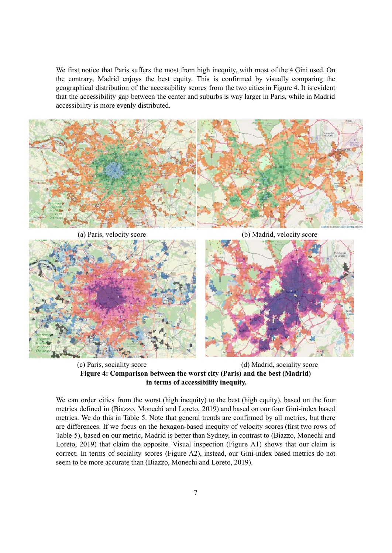We first notice that Paris suffers the most from high inequity, with most of the 4 Gini used. On the contrary, Madrid enjoys the best equity. This is confirmed by visually comparing the geographical distribution of the accessibility scores from the two cities in Figure 4. It is evident that the accessibility gap between the center and suburbs is way larger in Paris, while in Madrid accessibility is more evenly distributed.



(a) Paris, velocity score (b) Madrid, velocity score



(c) Paris, sociality score (d) Madrid, sociality score **Figure 4: Comparison between the worst city (Paris) and the best (Madrid) in terms of accessibility inequity.**

We can order cities from the worst (high inequity) to the best (high equity), based on the four metrics defined in (Biazzo, Monechi and Loreto, 2019) and based on our four Gini-index based metrics. We do this in Table 5. Note that general trends are confirmed by all metrics, but there are differences. If we focus on the hexagon-based inequity of velocity scores (first two rows of Table 5), based on our metric, Madrid is better than Sydney, in contrast to (Biazzo, Monechi and Loreto, 2019) that claim the opposite. Visual inspection (Figure A1) shows that our claim is correct. In terms of sociality scores (Figure A2), instead, our Gini-index based metrics do not seem to be more accurate than (Biazzo, Monechi and Loreto, 2019).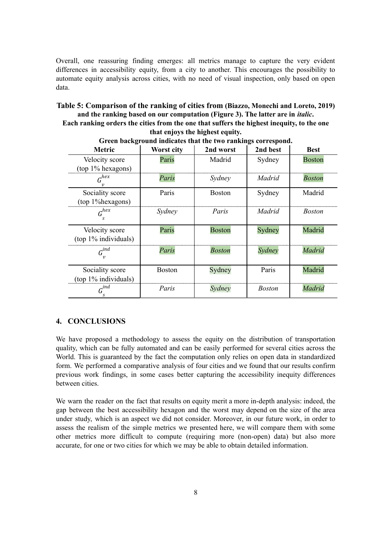Overall, one reassuring finding emerges: all metrics manage to capture the very evident differences in accessibility equity, from a city to another. This encourages the possibility to automate equity analysis across cities, with no need of visual inspection, only based on open data.

**Table 5: Comparison of the ranking of cities from (Biazzo, Monechi and Loreto, 2019) and the ranking based on our computation (Figure 3). The latter are in** *italic***. Each ranking orders the cities from the one that suffers the highest inequity, to the one that enjoys the highest equity.**

| OFFER DAVAGLUMNUM INURALES THAT THE TWO LAHKINGS CUTTESPONU. |               |               |               |               |  |
|--------------------------------------------------------------|---------------|---------------|---------------|---------------|--|
| <b>Metric</b>                                                | Worst city    | 2nd worst     | 2nd best      | <b>Best</b>   |  |
| Velocity score                                               | Paris         | Madrid        | Sydney        | <b>Boston</b> |  |
| $(top 1\% hexagons)$                                         |               |               |               |               |  |
| ,hex                                                         | Paris         | Sydney        | Madrid        | Boston        |  |
| Sociality score<br>(top 1% hexagons)                         | Paris         | <b>Boston</b> | Sydney        | Madrid        |  |
| $g^{hex}$                                                    | Sydney        | Paris         | Madrid        | <b>Boston</b> |  |
| Velocity score<br>$(top 1\%$ individuals)                    | Paris         | <b>Boston</b> | Sydney        | Madrid        |  |
| $G^{ind}$                                                    | Paris         | Boston        | Sydney        | Madrid        |  |
| Sociality score<br>(top 1% individuals)                      | <b>Boston</b> | Sydney        | Paris         | Madrid        |  |
| .ind<br>s                                                    | Paris         | Svdnev        | <b>Boston</b> | Madrid        |  |

**Green background indicates that the two rankings correspond.**

# **4. CONCLUSIONS**

We have proposed a methodology to assess the equity on the distribution of transportation quality, which can be fully automated and can be easily performed for several cities across the World. This is guaranteed by the fact the computation only relies on open data in standardized form. We performed a comparative analysis of four cities and we found that our results confirm previous work findings, in some cases better capturing the accessibility inequity differences between cities.

We warn the reader on the fact that results on equity merit a more in-depth analysis: indeed, the gap between the best accessibility hexagon and the worst may depend on the size of the area under study, which is an aspect we did not consider. Moreover, in our future work, in order to assess the realism of the simple metrics we presented here, we will compare them with some other metrics more difficult to compute (requiring more (non-open) data) but also more accurate, for one or two cities for which we may be able to obtain detailed information.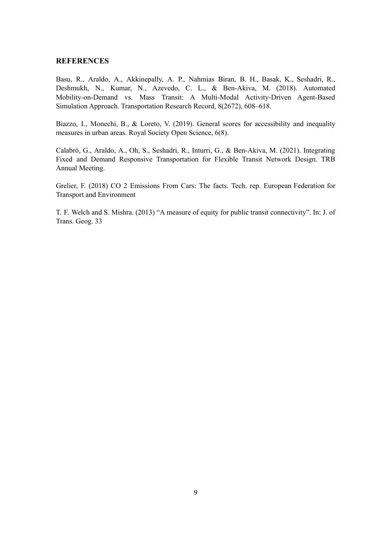#### **REFERENCES**

Basu, R., Araldo, A., Akkinepally, A. P., Nahmias Biran, B. H., Basak, K., Seshadri, R., Deshmukh, N., Kumar, N., Azevedo, C. L., & Ben-Akiva, M. (2018). Automated Mobility-on-Demand vs. Mass Transit: A Multi-Modal Activity-Driven Agent-Based Simulation Approach. Transportation Research Record, 8(2672), 608–618.

Biazzo, I., Monechi, B., & Loreto, V. (2019). General scores for accessibility and inequality measures in urban areas. Royal Society Open Science, 6(8).

Calabrò, G., Araldo, A., Oh, S., Seshadri, R., Inturri, G., & Ben-Akiva, M. (2021). Integrating Fixed and Demand Responsive Transportation for Flexible Transit Network Design. TRB Annual Meeting.

Grelier, F. (2018) CO 2 Emissions From Cars: The facts. Tech. rep. European Federation for Transport and Environment

T. F. Welch and S. Mishra. (2013) "A measure of equity for public transit connectivity". In: J. of Trans. Geog. 33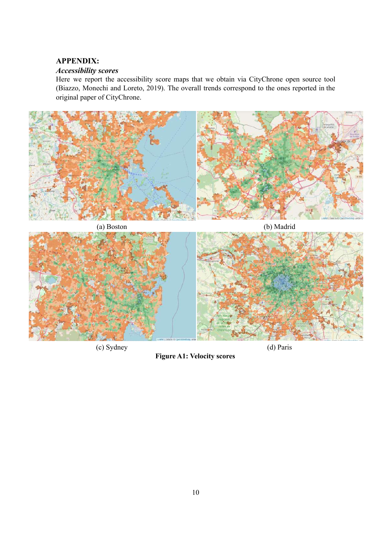# **APPENDIX:**

# *Accessibility scores*

Here we report the accessibility score maps that we obtain via CityChrone open source tool (Biazzo, Monechi and Loreto, 2019). The overall trends correspond to the ones reported in the original paper of CityChrone.





**Figure A1: Velocity scores**

(c) Sydney (d) Paris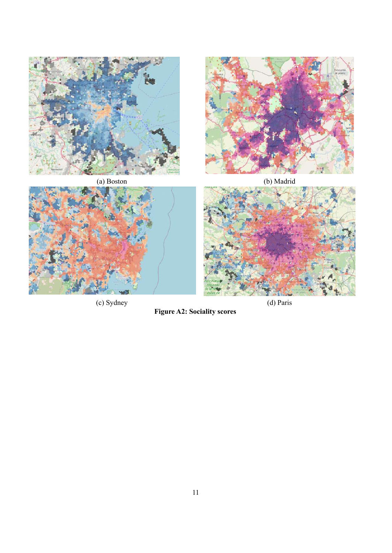



**Figure A2: Sociality scores**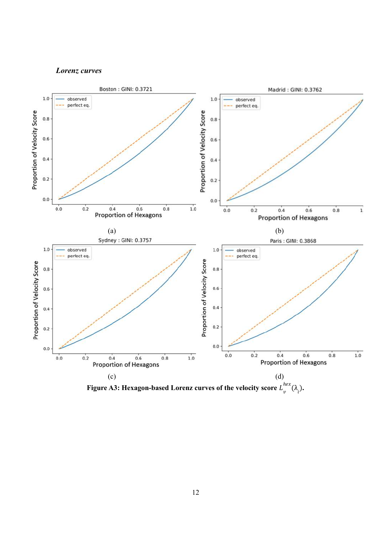### *Lorenz curves*



**Figure A3: Hexagon-based Lorenz curves of the velocity score**  $L_v^{max}(\lambda_i)$ **.**  $_{v}^{hex}(\lambda_{i}).$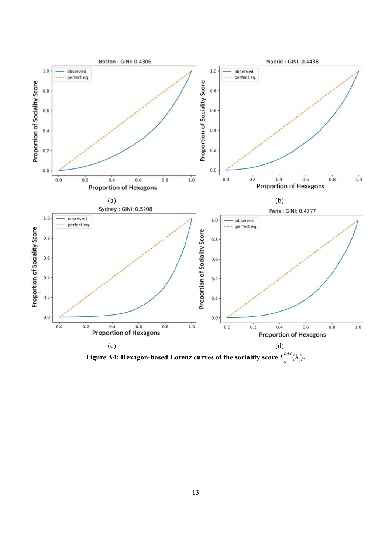

**Figure A4: Hexagon-based Lorenz curves of the sociality score**  $L_s^{max}(\lambda_i)$ **.**  $_{s}^{hex}(\lambda_{i}).$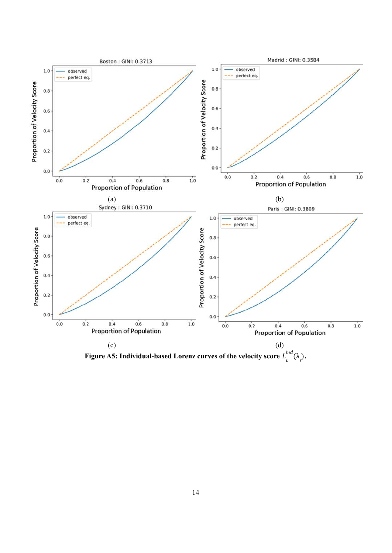

**Figure A5: Individual-based Lorenz curves of the velocity score**  $L_v^{uu}(\lambda_i)$ **.**  $_{v}^{ind}(\lambda_{i}).$